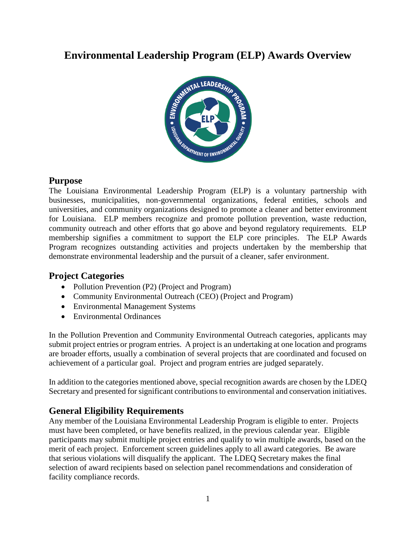# **Environmental Leadership Program (ELP) Awards Overview**



### **Purpose**

The Louisiana Environmental Leadership Program (ELP) is a voluntary partnership with businesses, municipalities, non-governmental organizations, federal entities, schools and universities, and community organizations designed to promote a cleaner and better environment for Louisiana. ELP members recognize and promote pollution prevention, waste reduction, community outreach and other efforts that go above and beyond regulatory requirements. ELP membership signifies a commitment to support the ELP core principles. The ELP Awards Program recognizes outstanding activities and projects undertaken by the membership that demonstrate environmental leadership and the pursuit of a cleaner, safer environment.

## **Project Categories**

- Pollution Prevention (P2) (Project and Program)
- Community Environmental Outreach (CEO) (Project and Program)
- Environmental Management Systems
- Environmental Ordinances

In the Pollution Prevention and Community Environmental Outreach categories, applicants may submit project entries or program entries. A project is an undertaking at one location and programs are broader efforts, usually a combination of several projects that are coordinated and focused on achievement of a particular goal. Project and program entries are judged separately.

In addition to the categories mentioned above, special recognition awards are chosen by the LDEQ Secretary and presented for significant contributions to environmental and conservation initiatives.

## **General Eligibility Requirements**

Any member of the Louisiana Environmental Leadership Program is eligible to enter. Projects must have been completed, or have benefits realized, in the previous calendar year. Eligible participants may submit multiple project entries and qualify to win multiple awards, based on the merit of each project. Enforcement screen guidelines apply to all award categories. Be aware that serious violations will disqualify the applicant. The LDEQ Secretary makes the final selection of award recipients based on selection panel recommendations and consideration of facility compliance records.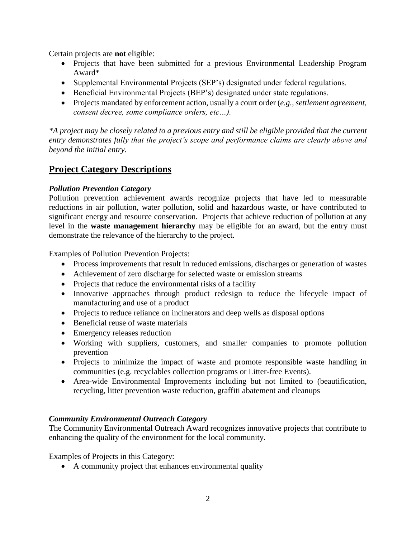Certain projects are **not** eligible:

- Projects that have been submitted for a previous Environmental Leadership Program Award\*
- Supplemental Environmental Projects (SEP's) designated under federal regulations.
- Beneficial Environmental Projects (BEP's) designated under state regulations.
- Projects mandated by enforcement action, usually a court order (*e.g., settlement agreement, consent decree, some compliance orders, etc…).*

*\*A project may be closely related to a previous entry and still be eligible provided that the current entry demonstrates fully that the project's scope and performance claims are clearly above and beyond the initial entry.*

# **Project Category Descriptions**

### *Pollution Prevention Category*

Pollution prevention achievement awards recognize projects that have led to measurable reductions in air pollution, water pollution, solid and hazardous waste, or have contributed to significant energy and resource conservation. Projects that achieve reduction of pollution at any level in the **waste management hierarchy** may be eligible for an award, but the entry must demonstrate the relevance of the hierarchy to the project.

Examples of Pollution Prevention Projects:

- Process improvements that result in reduced emissions, discharges or generation of wastes
- Achievement of zero discharge for selected waste or emission streams
- Projects that reduce the environmental risks of a facility
- Innovative approaches through product redesign to reduce the lifecycle impact of manufacturing and use of a product
- Projects to reduce reliance on incinerators and deep wells as disposal options
- Beneficial reuse of waste materials
- Emergency releases reduction
- Working with suppliers, customers, and smaller companies to promote pollution prevention
- Projects to minimize the impact of waste and promote responsible waste handling in communities (e.g. recyclables collection programs or Litter-free Events).
- Area-wide Environmental Improvements including but not limited to (beautification, recycling, litter prevention waste reduction, graffiti abatement and cleanups

#### *Community Environmental Outreach Category*

The Community Environmental Outreach Award recognizes innovative projects that contribute to enhancing the quality of the environment for the local community.

Examples of Projects in this Category:

• A community project that enhances environmental quality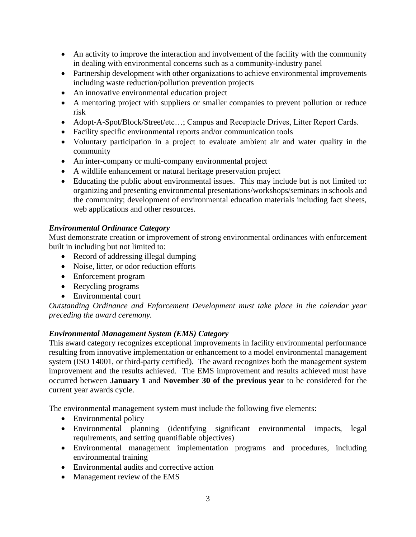- An activity to improve the interaction and involvement of the facility with the community in dealing with environmental concerns such as a community-industry panel
- Partnership development with other organizations to achieve environmental improvements including waste reduction/pollution prevention projects
- An innovative environmental education project
- A mentoring project with suppliers or smaller companies to prevent pollution or reduce risk
- Adopt-A-Spot/Block/Street/etc…; Campus and Receptacle Drives, Litter Report Cards.
- Facility specific environmental reports and/or communication tools
- Voluntary participation in a project to evaluate ambient air and water quality in the community
- An inter-company or multi-company environmental project
- A wildlife enhancement or natural heritage preservation project
- Educating the public about environmental issues. This may include but is not limited to: organizing and presenting environmental presentations/workshops/seminars in schools and the community; development of environmental education materials including fact sheets, web applications and other resources.

#### *Environmental Ordinance Category*

Must demonstrate creation or improvement of strong environmental ordinances with enforcement built in including but not limited to:

- Record of addressing illegal dumping
- Noise, litter, or odor reduction efforts
- Enforcement program
- Recycling programs
- Environmental court

*Outstanding Ordinance and Enforcement Development must take place in the calendar year preceding the award ceremony.*

#### *Environmental Management System (EMS) Category*

This award category recognizes exceptional improvements in facility environmental performance resulting from innovative implementation or enhancement to a model environmental management system (ISO 14001, or third-party certified). The award recognizes both the management system improvement and the results achieved. The EMS improvement and results achieved must have occurred between **January 1** and **November 30 of the previous year** to be considered for the current year awards cycle.

The environmental management system must include the following five elements:

- Environmental policy
- Environmental planning (identifying significant environmental impacts, legal requirements, and setting quantifiable objectives)
- Environmental management implementation programs and procedures, including environmental training
- Environmental audits and corrective action
- Management review of the EMS